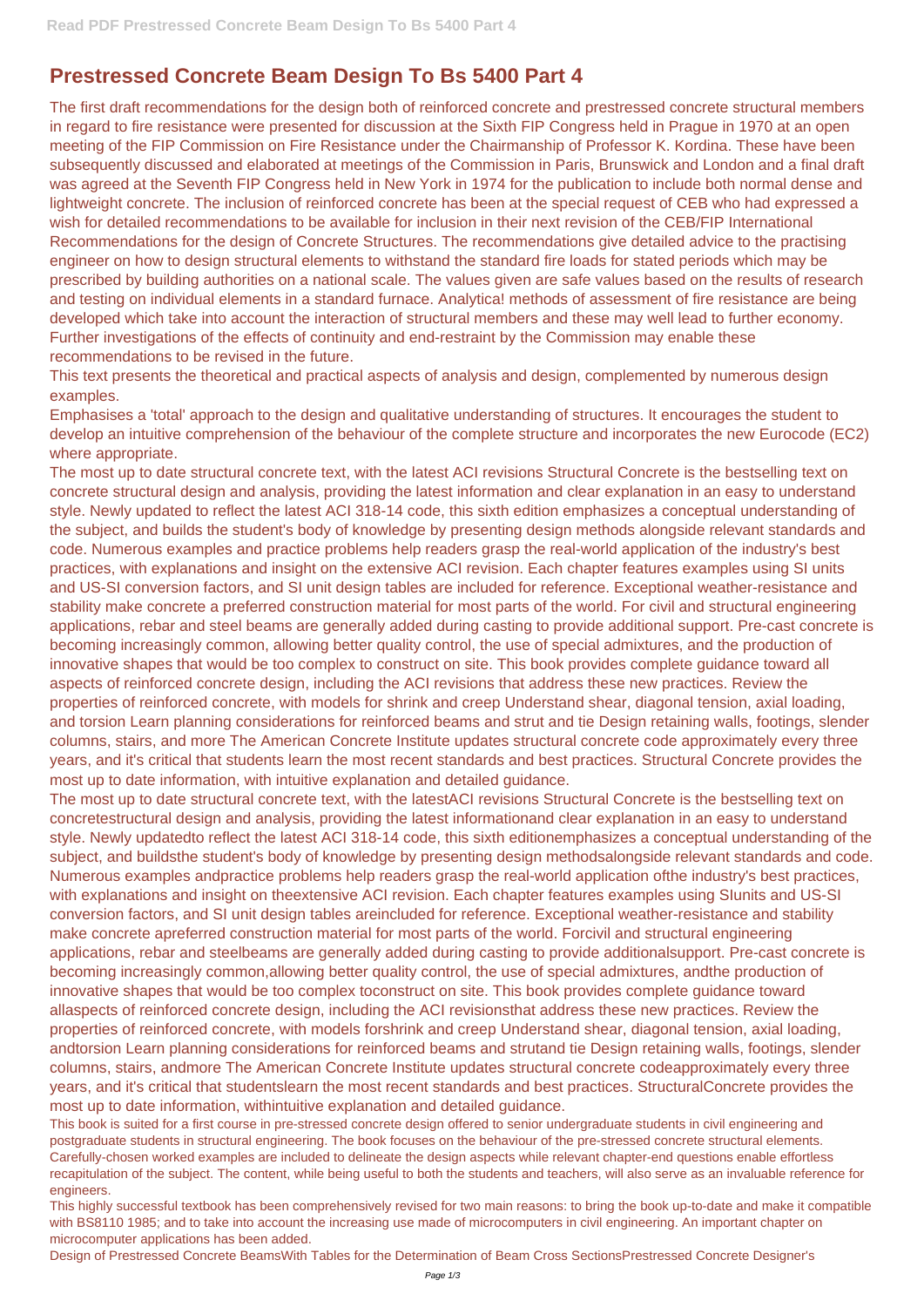## **Prestressed Concrete Beam Design To Bs 5400 Part 4**

The first draft recommendations for the design both of reinforced concrete and prestressed concrete structural members in regard to fire resistance were presented for discussion at the Sixth FIP Congress held in Prague in 1970 at an open meeting of the FIP Commission on Fire Resistance under the Chairmanship of Professor K. Kordina. These have been subsequently discussed and elaborated at meetings of the Commission in Paris, Brunswick and London and a final draft was agreed at the Seventh FIP Congress held in New York in 1974 for the publication to include both normal dense and lightweight concrete. The inclusion of reinforced concrete has been at the special request of CEB who had expressed a wish for detailed recommendations to be available for inclusion in their next revision of the CEB/FIP International Recommendations for the design of Concrete Structures. The recommendations give detailed advice to the practising engineer on how to design structural elements to withstand the standard fire loads for stated periods which may be prescribed by building authorities on a national scale. The values given are safe values based on the results of research and testing on individual elements in a standard furnace. Analytica! methods of assessment of fire resistance are being developed which take into account the interaction of structural members and these may well lead to further economy. Further investigations of the effects of continuity and end-restraint by the Commission may enable these recommendations to be revised in the future.

This text presents the theoretical and practical aspects of analysis and design, complemented by numerous design examples.

Emphasises a 'total' approach to the design and qualitative understanding of structures. It encourages the student to develop an intuitive comprehension of the behaviour of the complete structure and incorporates the new Eurocode (EC2) where appropriate.

The most up to date structural concrete text, with the latest ACI revisions Structural Concrete is the bestselling text on concrete structural design and analysis, providing the latest information and clear explanation in an easy to understand style. Newly updated to reflect the latest ACI 318-14 code, this sixth edition emphasizes a conceptual understanding of the subject, and builds the student's body of knowledge by presenting design methods alongside relevant standards and code. Numerous examples and practice problems help readers grasp the real-world application of the industry's best practices, with explanations and insight on the extensive ACI revision. Each chapter features examples using SI units and US-SI conversion factors, and SI unit design tables are included for reference. Exceptional weather-resistance and stability make concrete a preferred construction material for most parts of the world. For civil and structural engineering applications, rebar and steel beams are generally added during casting to provide additional support. Pre-cast concrete is becoming increasingly common, allowing better quality control, the use of special admixtures, and the production of innovative shapes that would be too complex to construct on site. This book provides complete guidance toward all aspects of reinforced concrete design, including the ACI revisions that address these new practices. Review the properties of reinforced concrete, with models for shrink and creep Understand shear, diagonal tension, axial loading, and torsion Learn planning considerations for reinforced beams and strut and tie Design retaining walls, footings, slender columns, stairs, and more The American Concrete Institute updates structural concrete code approximately every three years, and it's critical that students learn the most recent standards and best practices. Structural Concrete provides the most up to date information, with intuitive explanation and detailed guidance.

The most up to date structural concrete text, with the latestACI revisions Structural Concrete is the bestselling text on concretestructural design and analysis, providing the latest informationand clear explanation in an easy to understand style. Newly updatedto reflect the latest ACI 318-14 code, this sixth editionemphasizes a conceptual understanding of the subject, and buildsthe student's body of knowledge by presenting design methodsalongside relevant standards and code. Numerous examples andpractice problems help readers grasp the real-world application ofthe industry's best practices, with explanations and insight on theextensive ACI revision. Each chapter features examples using SIunits and US-SI conversion factors, and SI unit design tables areincluded for reference. Exceptional weather-resistance and stability make concrete apreferred construction material for most parts of the world. Forcivil and structural engineering applications, rebar and steelbeams are generally added during casting to provide additionalsupport. Pre-cast concrete is becoming increasingly common,allowing better quality control, the use of special admixtures, andthe production of innovative shapes that would be too complex toconstruct on site. This book provides complete guidance toward allaspects of reinforced concrete design, including the ACI revisionsthat address these new practices. Review the properties of reinforced concrete, with models forshrink and creep Understand shear, diagonal tension, axial loading, andtorsion Learn planning considerations for reinforced beams and strutand tie Design retaining walls, footings, slender columns, stairs, andmore The American Concrete Institute updates structural concrete codeapproximately every three years, and it's critical that studentslearn the most recent standards and best practices. StructuralConcrete provides the most up to date information, withintuitive explanation and detailed guidance. This book is suited for a first course in pre-stressed concrete design offered to senior undergraduate students in civil engineering and postgraduate students in structural engineering. The book focuses on the behaviour of the pre-stressed concrete structural elements. Carefully-chosen worked examples are included to delineate the design aspects while relevant chapter-end questions enable effortless recapitulation of the subject. The content, while being useful to both the students and teachers, will also serve as an invaluable reference for engineers.

This highly successful textbook has been comprehensively revised for two main reasons: to bring the book up-to-date and make it compatible with BS8110 1985; and to take into account the increasing use made of microcomputers in civil engineering. An important chapter on microcomputer applications has been added.

Design of Prestressed Concrete BeamsWith Tables for the Determination of Beam Cross SectionsPrestressed Concrete Designer's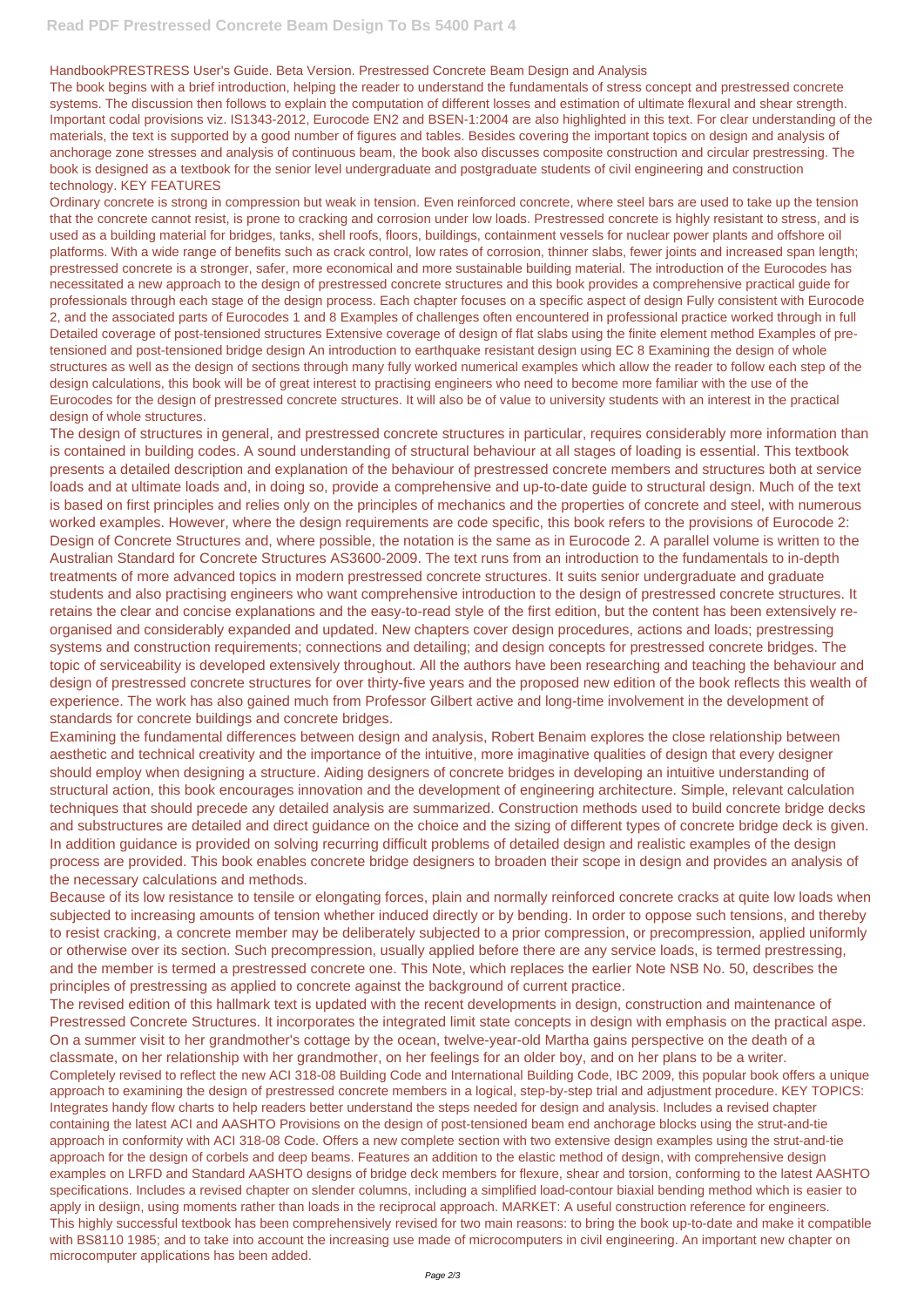## HandbookPRESTRESS User's Guide. Beta Version. Prestressed Concrete Beam Design and Analysis

The book begins with a brief introduction, helping the reader to understand the fundamentals of stress concept and prestressed concrete systems. The discussion then follows to explain the computation of different losses and estimation of ultimate flexural and shear strength. Important codal provisions viz. IS1343-2012, Eurocode EN2 and BSEN-1:2004 are also highlighted in this text. For clear understanding of the materials, the text is supported by a good number of figures and tables. Besides covering the important topics on design and analysis of anchorage zone stresses and analysis of continuous beam, the book also discusses composite construction and circular prestressing. The book is designed as a textbook for the senior level undergraduate and postgraduate students of civil engineering and construction technology. KEY FEATURES

Ordinary concrete is strong in compression but weak in tension. Even reinforced concrete, where steel bars are used to take up the tension that the concrete cannot resist, is prone to cracking and corrosion under low loads. Prestressed concrete is highly resistant to stress, and is used as a building material for bridges, tanks, shell roofs, floors, buildings, containment vessels for nuclear power plants and offshore oil platforms. With a wide range of benefits such as crack control, low rates of corrosion, thinner slabs, fewer joints and increased span length; prestressed concrete is a stronger, safer, more economical and more sustainable building material. The introduction of the Eurocodes has necessitated a new approach to the design of prestressed concrete structures and this book provides a comprehensive practical guide for professionals through each stage of the design process. Each chapter focuses on a specific aspect of design Fully consistent with Eurocode 2, and the associated parts of Eurocodes 1 and 8 Examples of challenges often encountered in professional practice worked through in full Detailed coverage of post-tensioned structures Extensive coverage of design of flat slabs using the finite element method Examples of pretensioned and post-tensioned bridge design An introduction to earthquake resistant design using EC 8 Examining the design of whole structures as well as the design of sections through many fully worked numerical examples which allow the reader to follow each step of the design calculations, this book will be of great interest to practising engineers who need to become more familiar with the use of the Eurocodes for the design of prestressed concrete structures. It will also be of value to university students with an interest in the practical design of whole structures.

The design of structures in general, and prestressed concrete structures in particular, requires considerably more information than is contained in building codes. A sound understanding of structural behaviour at all stages of loading is essential. This textbook presents a detailed description and explanation of the behaviour of prestressed concrete members and structures both at service loads and at ultimate loads and, in doing so, provide a comprehensive and up-to-date guide to structural design. Much of the text is based on first principles and relies only on the principles of mechanics and the properties of concrete and steel, with numerous worked examples. However, where the design requirements are code specific, this book refers to the provisions of Eurocode 2: Design of Concrete Structures and, where possible, the notation is the same as in Eurocode 2. A parallel volume is written to the Australian Standard for Concrete Structures AS3600-2009. The text runs from an introduction to the fundamentals to in-depth treatments of more advanced topics in modern prestressed concrete structures. It suits senior undergraduate and graduate students and also practising engineers who want comprehensive introduction to the design of prestressed concrete structures. It retains the clear and concise explanations and the easy-to-read style of the first edition, but the content has been extensively reorganised and considerably expanded and updated. New chapters cover design procedures, actions and loads; prestressing systems and construction requirements; connections and detailing; and design concepts for prestressed concrete bridges. The topic of serviceability is developed extensively throughout. All the authors have been researching and teaching the behaviour and design of prestressed concrete structures for over thirty-five years and the proposed new edition of the book reflects this wealth of experience. The work has also gained much from Professor Gilbert active and long-time involvement in the development of standards for concrete buildings and concrete bridges.

Examining the fundamental differences between design and analysis, Robert Benaim explores the close relationship between aesthetic and technical creativity and the importance of the intuitive, more imaginative qualities of design that every designer should employ when designing a structure. Aiding designers of concrete bridges in developing an intuitive understanding of structural action, this book encourages innovation and the development of engineering architecture. Simple, relevant calculation techniques that should precede any detailed analysis are summarized. Construction methods used to build concrete bridge decks and substructures are detailed and direct guidance on the choice and the sizing of different types of concrete bridge deck is given. In addition guidance is provided on solving recurring difficult problems of detailed design and realistic examples of the design process are provided. This book enables concrete bridge designers to broaden their scope in design and provides an analysis of the necessary calculations and methods.

Because of its low resistance to tensile or elongating forces, plain and normally reinforced concrete cracks at quite low loads when subjected to increasing amounts of tension whether induced directly or by bending. In order to oppose such tensions, and thereby to resist cracking, a concrete member may be deliberately subjected to a prior compression, or precompression, applied uniformly or otherwise over its section. Such precompression, usually applied before there are any service loads, is termed prestressing, and the member is termed a prestressed concrete one. This Note, which replaces the earlier Note NSB No. 50, describes the principles of prestressing as applied to concrete against the background of current practice.

The revised edition of this hallmark text is updated with the recent developments in design, construction and maintenance of Prestressed Concrete Structures. It incorporates the integrated limit state concepts in design with emphasis on the practical aspe. On a summer visit to her grandmother's cottage by the ocean, twelve-year-old Martha gains perspective on the death of a classmate, on her relationship with her grandmother, on her feelings for an older boy, and on her plans to be a writer. Completely revised to reflect the new ACI 318-08 Building Code and International Building Code, IBC 2009, this popular book offers a unique approach to examining the design of prestressed concrete members in a logical, step-by-step trial and adjustment procedure. KEY TOPICS: Integrates handy flow charts to help readers better understand the steps needed for design and analysis. Includes a revised chapter containing the latest ACI and AASHTO Provisions on the design of post-tensioned beam end anchorage blocks using the strut-and-tie approach in conformity with ACI 318-08 Code. Offers a new complete section with two extensive design examples using the strut-and-tie approach for the design of corbels and deep beams. Features an addition to the elastic method of design, with comprehensive design examples on LRFD and Standard AASHTO designs of bridge deck members for flexure, shear and torsion, conforming to the latest AASHTO specifications. Includes a revised chapter on slender columns, including a simplified load-contour biaxial bending method which is easier to apply in desiign, using moments rather than loads in the reciprocal approach. MARKET: A useful construction reference for engineers. This highly successful textbook has been comprehensively revised for two main reasons: to bring the book up-to-date and make it compatible with BS8110 1985; and to take into account the increasing use made of microcomputers in civil engineering. An important new chapter on microcomputer applications has been added.